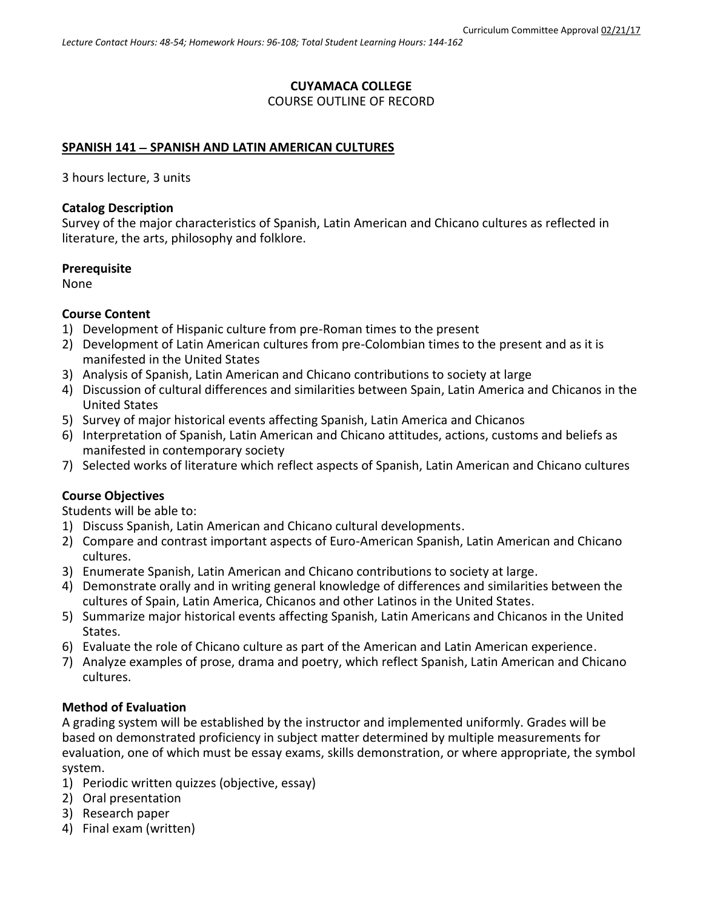### **CUYAMACA COLLEGE**

### COURSE OUTLINE OF RECORD

#### **SPANISH 141 SPANISH AND LATIN AMERICAN CULTURES**

3 hours lecture, 3 units

#### **Catalog Description**

Survey of the major characteristics of Spanish, Latin American and Chicano cultures as reflected in literature, the arts, philosophy and folklore.

#### **Prerequisite**

None

#### **Course Content**

- 1) Development of Hispanic culture from pre-Roman times to the present
- 2) Development of Latin American cultures from pre-Colombian times to the present and as it is manifested in the United States
- 3) Analysis of Spanish, Latin American and Chicano contributions to society at large
- 4) Discussion of cultural differences and similarities between Spain, Latin America and Chicanos in the United States
- 5) Survey of major historical events affecting Spanish, Latin America and Chicanos
- 6) Interpretation of Spanish, Latin American and Chicano attitudes, actions, customs and beliefs as manifested in contemporary society
- 7) Selected works of literature which reflect aspects of Spanish, Latin American and Chicano cultures

### **Course Objectives**

Students will be able to:

- 1) Discuss Spanish, Latin American and Chicano cultural developments.
- 2) Compare and contrast important aspects of Euro-American Spanish, Latin American and Chicano cultures.
- 3) Enumerate Spanish, Latin American and Chicano contributions to society at large.
- 4) Demonstrate orally and in writing general knowledge of differences and similarities between the cultures of Spain, Latin America, Chicanos and other Latinos in the United States.
- 5) Summarize major historical events affecting Spanish, Latin Americans and Chicanos in the United States.
- 6) Evaluate the role of Chicano culture as part of the American and Latin American experience.
- 7) Analyze examples of prose, drama and poetry, which reflect Spanish, Latin American and Chicano cultures.

#### **Method of Evaluation**

A grading system will be established by the instructor and implemented uniformly. Grades will be based on demonstrated proficiency in subject matter determined by multiple measurements for evaluation, one of which must be essay exams, skills demonstration, or where appropriate, the symbol system.

- 1) Periodic written quizzes (objective, essay)
- 2) Oral presentation
- 3) Research paper
- 4) Final exam (written)